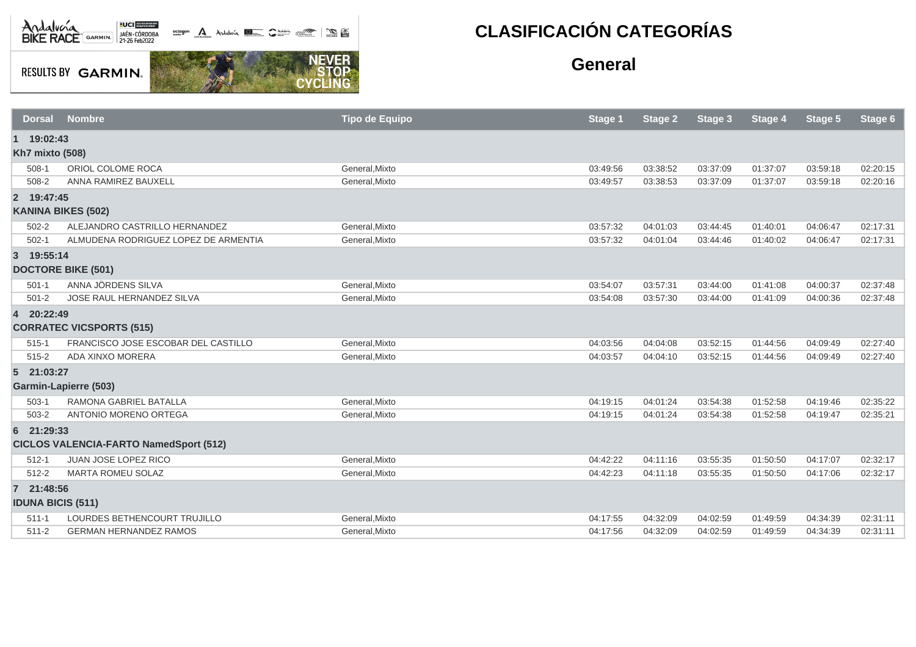

**RESULTS BY GARMIN.** 

**NEVER**<br>STOP

CYCL

## **CLASIFICACIÓN CATEGORÍAS**

## **General**

| <b>Dorsal</b>            | <b>Nombre</b>                                 | <b>Tipo de Equipo</b> | Stage 1  | <b>Stage 2</b> | Stage 3  | Stage 4  | Stage 5  | Stage 6  |
|--------------------------|-----------------------------------------------|-----------------------|----------|----------------|----------|----------|----------|----------|
| 1 19:02:43               |                                               |                       |          |                |          |          |          |          |
| <b>Kh7 mixto (508)</b>   |                                               |                       |          |                |          |          |          |          |
| $508-1$                  | ORIOL COLOME ROCA                             | General, Mixto        | 03:49:56 | 03:38:52       | 03:37:09 | 01:37:07 | 03:59:18 | 02:20:15 |
| 508-2                    | ANNA RAMIREZ BAUXELL                          | General, Mixto        | 03:49:57 | 03:38:53       | 03:37:09 | 01:37:07 | 03:59:18 | 02:20:16 |
| 2 19:47:45               |                                               |                       |          |                |          |          |          |          |
|                          | <b>KANINA BIKES (502)</b>                     |                       |          |                |          |          |          |          |
| $502 - 2$                | ALEJANDRO CASTRILLO HERNANDEZ                 | General, Mixto        | 03:57:32 | 04:01:03       | 03:44:45 | 01:40:01 | 04:06:47 | 02:17:31 |
| $502 - 1$                | ALMUDENA RODRIGUEZ LOPEZ DE ARMENTIA          | General, Mixto        | 03:57:32 | 04:01:04       | 03:44:46 | 01:40:02 | 04:06:47 | 02:17:31 |
| 3 19:55:14               |                                               |                       |          |                |          |          |          |          |
|                          | <b>DOCTORE BIKE (501)</b>                     |                       |          |                |          |          |          |          |
| $501 - 1$                | ANNA JÖRDENS SILVA                            | General, Mixto        | 03:54:07 | 03:57:31       | 03:44:00 | 01:41:08 | 04:00:37 | 02:37:48 |
| $501 - 2$                | JOSE RAUL HERNANDEZ SILVA                     | General, Mixto        | 03:54:08 | 03:57:30       | 03:44:00 | 01:41:09 | 04:00:36 | 02:37:48 |
| 4 20:22:49               |                                               |                       |          |                |          |          |          |          |
|                          | <b>CORRATEC VICSPORTS (515)</b>               |                       |          |                |          |          |          |          |
| $515 - 1$                | FRANCISCO JOSE ESCOBAR DEL CASTILLO           | General, Mixto        | 04:03:56 | 04:04:08       | 03:52:15 | 01:44:56 | 04:09:49 | 02:27:40 |
| $515 - 2$                | ADA XINXO MORERA                              | General, Mixto        | 04:03:57 | 04:04:10       | 03:52:15 | 01:44:56 | 04:09:49 | 02:27:40 |
| 5 21:03:27               |                                               |                       |          |                |          |          |          |          |
|                          | <b>Garmin-Lapierre (503)</b>                  |                       |          |                |          |          |          |          |
| $503-1$                  | RAMONA GABRIEL BATALLA                        | General, Mixto        | 04:19:15 | 04:01:24       | 03:54:38 | 01:52:58 | 04:19:46 | 02:35:22 |
| 503-2                    | ANTONIO MORENO ORTEGA                         | General, Mixto        | 04:19:15 | 04:01:24       | 03:54:38 | 01:52:58 | 04:19:47 | 02:35:21 |
| 6 21:29:33               |                                               |                       |          |                |          |          |          |          |
|                          | <b>CICLOS VALENCIA-FARTO NamedSport (512)</b> |                       |          |                |          |          |          |          |
| $512 - 1$                | <b>JUAN JOSE LOPEZ RICO</b>                   | General, Mixto        | 04:42:22 | 04:11:16       | 03:55:35 | 01:50:50 | 04:17:07 | 02:32:17 |
| $512 - 2$                | <b>MARTA ROMEU SOLAZ</b>                      | General, Mixto        | 04:42:23 | 04:11:18       | 03:55:35 | 01:50:50 | 04:17:06 | 02:32:17 |
| 7 21:48:56               |                                               |                       |          |                |          |          |          |          |
| <b>IDUNA BICIS (511)</b> |                                               |                       |          |                |          |          |          |          |
| $511 - 1$                | LOURDES BETHENCOURT TRUJILLO                  | General, Mixto        | 04:17:55 | 04:32:09       | 04:02:59 | 01:49:59 | 04:34:39 | 02:31:11 |
| $511 - 2$                | <b>GERMAN HERNANDEZ RAMOS</b>                 | General.Mixto         | 04:17:56 | 04:32:09       | 04:02:59 | 01:49:59 | 04:34:39 | 02:31:11 |